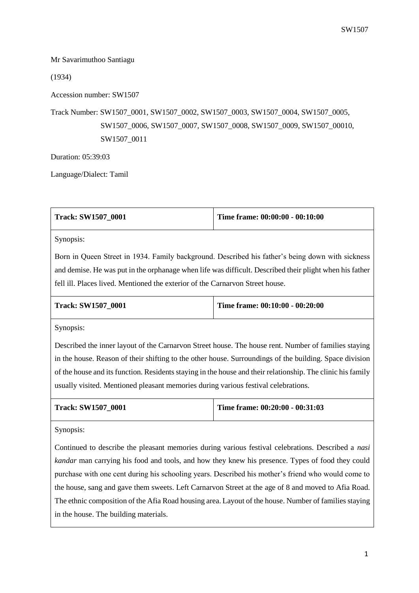Mr Savarimuthoo Santiagu

(1934)

Accession number: SW1507

Track Number: SW1507\_0001, SW1507\_0002, SW1507\_0003, SW1507\_0004, SW1507\_0005, SW1507\_0006, SW1507\_0007, SW1507\_0008, SW1507\_0009, SW1507\_00010, SW1507\_0011

Duration: 05:39:03

Language/Dialect: Tamil

| <b>Track: SW1507 0001</b> | Time frame: $00:00:00 - 00:10:00$ |
|---------------------------|-----------------------------------|
|                           |                                   |

Synopsis:

Born in Queen Street in 1934. Family background. Described his father's being down with sickness and demise. He was put in the orphanage when life was difficult. Described their plight when his father fell ill. Places lived. Mentioned the exterior of the Carnarvon Street house.

| <b>Track: SW1507 0001</b> | Time frame: 00:10:00 - 00:20:00 |
|---------------------------|---------------------------------|
|                           |                                 |

Synopsis:

Described the inner layout of the Carnarvon Street house. The house rent. Number of families staying in the house. Reason of their shifting to the other house. Surroundings of the building. Space division of the house and its function. Residents staying in the house and their relationship. The clinic his family usually visited. Mentioned pleasant memories during various festival celebrations.

| <b>Track: SW1507 0001</b> | Time frame: $00:20:00 - 00:31:03$ |
|---------------------------|-----------------------------------|
|                           |                                   |

Synopsis:

Continued to describe the pleasant memories during various festival celebrations. Described a *nasi kandar* man carrying his food and tools, and how they knew his presence. Types of food they could purchase with one cent during his schooling years. Described his mother's friend who would come to the house, sang and gave them sweets. Left Carnarvon Street at the age of 8 and moved to Afia Road. The ethnic composition of the Afia Road housing area. Layout of the house. Number of families staying in the house. The building materials.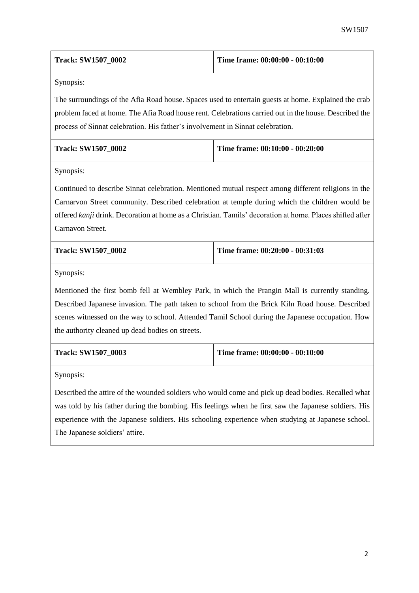| <b>Track: SW1507 0002</b> | Time frame: 00:00:00 - 00:10:00 |
|---------------------------|---------------------------------|
|---------------------------|---------------------------------|

The surroundings of the Afia Road house. Spaces used to entertain guests at home. Explained the crab problem faced at home. The Afia Road house rent. Celebrations carried out in the house. Described the process of Sinnat celebration. His father's involvement in Sinnat celebration.

| <b>Track: SW1507 0002</b> | Time frame: $00:10:00 - 00:20:00$ |
|---------------------------|-----------------------------------|
|                           |                                   |

Synopsis:

Continued to describe Sinnat celebration. Mentioned mutual respect among different religions in the Carnarvon Street community. Described celebration at temple during which the children would be offered *kanji* drink. Decoration at home as a Christian. Tamils' decoration at home. Places shifted after Carnavon Street.

| <b>Track: SW1507 0002</b> | Time frame: $00:20:00 - 00:31:03$ |
|---------------------------|-----------------------------------|
|                           |                                   |

Synopsis:

Mentioned the first bomb fell at Wembley Park, in which the Prangin Mall is currently standing. Described Japanese invasion. The path taken to school from the Brick Kiln Road house. Described scenes witnessed on the way to school. Attended Tamil School during the Japanese occupation. How the authority cleaned up dead bodies on streets.

| <b>Track: SW1507 0003</b> | Time frame: 00:00:00 - 00:10:00 |
|---------------------------|---------------------------------|
|                           |                                 |

Synopsis:

Described the attire of the wounded soldiers who would come and pick up dead bodies. Recalled what was told by his father during the bombing. His feelings when he first saw the Japanese soldiers. His experience with the Japanese soldiers. His schooling experience when studying at Japanese school. The Japanese soldiers' attire.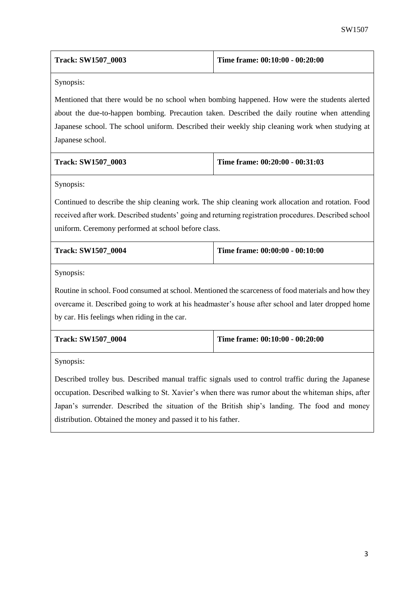| <b>Track: SW1507 0003</b> | Time frame: $00:10:00 - 00:20:00$ |
|---------------------------|-----------------------------------|
|                           |                                   |

Mentioned that there would be no school when bombing happened. How were the students alerted about the due-to-happen bombing. Precaution taken. Described the daily routine when attending Japanese school. The school uniform. Described their weekly ship cleaning work when studying at Japanese school.

| <b>Track: SW1507 0003</b> | Time frame: $00:20:00 - 00:31:03$ |
|---------------------------|-----------------------------------|
|                           |                                   |

Synopsis:

Continued to describe the ship cleaning work. The ship cleaning work allocation and rotation. Food received after work. Described students' going and returning registration procedures. Described school uniform. Ceremony performed at school before class.

| <b>Track: SW1507 0004</b> | Time frame: $00:00:00 - 00:10:00$ |
|---------------------------|-----------------------------------|
|                           |                                   |

Synopsis:

Routine in school. Food consumed at school. Mentioned the scarceness of food materials and how they overcame it. Described going to work at his headmaster's house after school and later dropped home by car. His feelings when riding in the car.

| <b>Track: SW1507 0004</b> | Time frame: $00:10:00 - 00:20:00$ |
|---------------------------|-----------------------------------|
|                           |                                   |

Synopsis:

Described trolley bus. Described manual traffic signals used to control traffic during the Japanese occupation. Described walking to St. Xavier's when there was rumor about the whiteman ships, after Japan's surrender. Described the situation of the British ship's landing. The food and money distribution. Obtained the money and passed it to his father.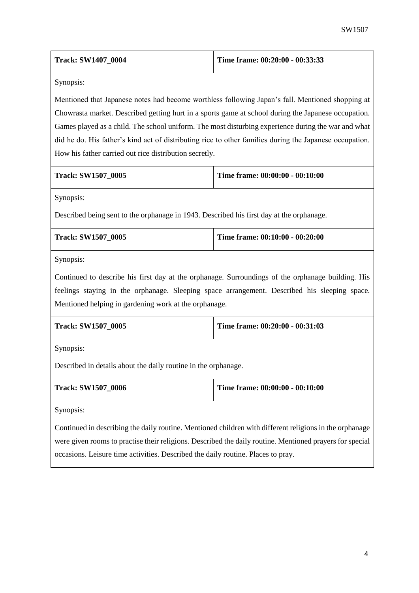|                                                                                                         | SW1507                          |
|---------------------------------------------------------------------------------------------------------|---------------------------------|
| <b>Track: SW1407_0004</b>                                                                               | Time frame: 00:20:00 - 00:33:33 |
| Synopsis:                                                                                               |                                 |
| Mentioned that Japanese notes had become worthless following Japan's fall. Mentioned shopping at        |                                 |
| Chowrasta market. Described getting hurt in a sports game at school during the Japanese occupation.     |                                 |
| Games played as a child. The school uniform. The most disturbing experience during the war and what     |                                 |
| did he do. His father's kind act of distributing rice to other families during the Japanese occupation. |                                 |
| How his father carried out rice distribution secretly.                                                  |                                 |
| <b>Track: SW1507_0005</b>                                                                               | Time frame: 00:00:00 - 00:10:00 |
| Synopsis:                                                                                               |                                 |
| Described being sent to the orphanage in 1943. Described his first day at the orphanage.                |                                 |
| Track: SW1507_0005                                                                                      | Time frame: 00:10:00 - 00:20:00 |
| Synopsis:                                                                                               |                                 |
| Continued to describe his first day at the orphanage. Surroundings of the orphanage building. His       |                                 |
| feelings staying in the orphanage. Sleeping space arrangement. Described his sleeping space.            |                                 |
| Mentioned helping in gardening work at the orphanage.                                                   |                                 |
| Track: SW1507_0005                                                                                      | Time frame: 00:20:00 - 00:31:03 |
| Synopsis:                                                                                               |                                 |
| Described in details about the daily routine in the orphanage.                                          |                                 |

| <b>Track: SW1507 0006</b> | Time frame: $00:00:00 - 00:10:00$ |
|---------------------------|-----------------------------------|
|                           |                                   |

Continued in describing the daily routine. Mentioned children with different religions in the orphanage were given rooms to practise their religions. Described the daily routine. Mentioned prayers for special occasions. Leisure time activities. Described the daily routine. Places to pray.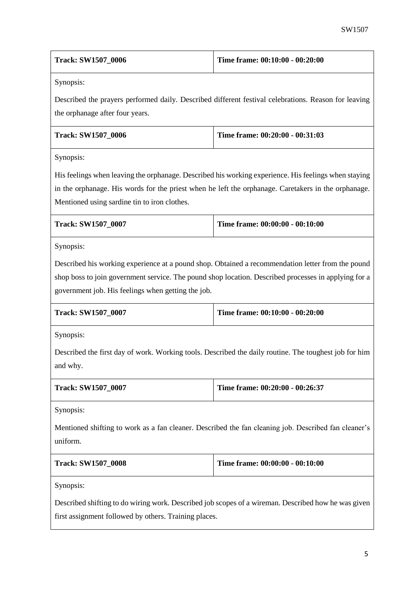| Track: SW1507_0006                                                                                                                                                                                                                                          | Time frame: 00:10:00 - 00:20:00                                                                                                                                                                           |  |
|-------------------------------------------------------------------------------------------------------------------------------------------------------------------------------------------------------------------------------------------------------------|-----------------------------------------------------------------------------------------------------------------------------------------------------------------------------------------------------------|--|
| Synopsis:                                                                                                                                                                                                                                                   |                                                                                                                                                                                                           |  |
| the orphanage after four years.                                                                                                                                                                                                                             | Described the prayers performed daily. Described different festival celebrations. Reason for leaving                                                                                                      |  |
| <b>Track: SW1507_0006</b>                                                                                                                                                                                                                                   | Time frame: 00:20:00 - 00:31:03                                                                                                                                                                           |  |
| Synopsis:                                                                                                                                                                                                                                                   |                                                                                                                                                                                                           |  |
| His feelings when leaving the orphanage. Described his working experience. His feelings when staying<br>in the orphanage. His words for the priest when he left the orphanage. Caretakers in the orphanage.<br>Mentioned using sardine tin to iron clothes. |                                                                                                                                                                                                           |  |
| <b>Track: SW1507_0007</b>                                                                                                                                                                                                                                   | Time frame: 00:00:00 - 00:10:00                                                                                                                                                                           |  |
|                                                                                                                                                                                                                                                             |                                                                                                                                                                                                           |  |
| Synopsis:                                                                                                                                                                                                                                                   |                                                                                                                                                                                                           |  |
| government job. His feelings when getting the job.                                                                                                                                                                                                          | Described his working experience at a pound shop. Obtained a recommendation letter from the pound<br>shop boss to join government service. The pound shop location. Described processes in applying for a |  |
| <b>Track: SW1507_0007</b>                                                                                                                                                                                                                                   | Time frame: 00:10:00 - 00:20:00                                                                                                                                                                           |  |
| Synopsis:                                                                                                                                                                                                                                                   |                                                                                                                                                                                                           |  |
| and why.                                                                                                                                                                                                                                                    | Described the first day of work. Working tools. Described the daily routine. The toughest job for him                                                                                                     |  |
| <b>Track: SW1507_0007</b>                                                                                                                                                                                                                                   | Time frame: 00:20:00 - 00:26:37                                                                                                                                                                           |  |
| Synopsis:                                                                                                                                                                                                                                                   |                                                                                                                                                                                                           |  |
| uniform.                                                                                                                                                                                                                                                    | Mentioned shifting to work as a fan cleaner. Described the fan cleaning job. Described fan cleaner's                                                                                                      |  |
| <b>Track: SW1507_0008</b>                                                                                                                                                                                                                                   | Time frame: 00:00:00 - 00:10:00                                                                                                                                                                           |  |

first assignment followed by others. Training places.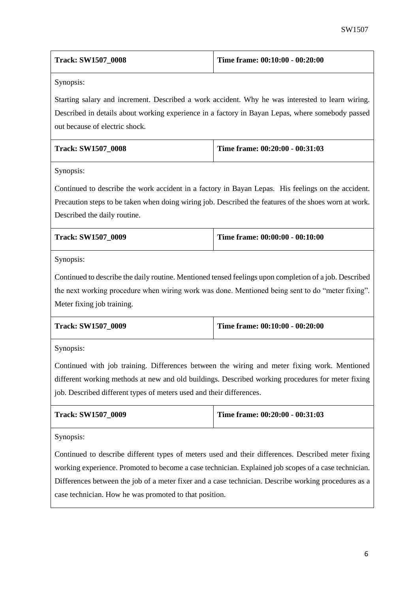| <b>Track: SW1507 0008</b> | Time frame: $00:10:00 - 00:20:00$ |
|---------------------------|-----------------------------------|
|                           |                                   |

Starting salary and increment. Described a work accident. Why he was interested to learn wiring. Described in details about working experience in a factory in Bayan Lepas, where somebody passed out because of electric shock.

| <b>Track: SW1507 0008</b> | Time frame: $00:20:00 - 00:31:03$ |
|---------------------------|-----------------------------------|
|                           |                                   |

Synopsis:

Continued to describe the work accident in a factory in Bayan Lepas. His feelings on the accident. Precaution steps to be taken when doing wiring job. Described the features of the shoes worn at work. Described the daily routine.

| <b>Track: SW1507 0009</b> | Time frame: $00:00:00 - 00:10:00$ |
|---------------------------|-----------------------------------|
|                           |                                   |

Synopsis:

Continued to describe the daily routine. Mentioned tensed feelings upon completion of a job. Described the next working procedure when wiring work was done. Mentioned being sent to do "meter fixing". Meter fixing job training.

| <b>Track: SW1507 0009</b> | Time frame: 00:10:00 - 00:20:00 |
|---------------------------|---------------------------------|
|                           |                                 |

Synopsis:

Continued with job training. Differences between the wiring and meter fixing work. Mentioned different working methods at new and old buildings. Described working procedures for meter fixing job. Described different types of meters used and their differences.

| <b>Track: SW1507 0009</b> | Time frame: 00:20:00 - 00:31:03 |
|---------------------------|---------------------------------|
|---------------------------|---------------------------------|

Synopsis:

Continued to describe different types of meters used and their differences. Described meter fixing working experience. Promoted to become a case technician. Explained job scopes of a case technician. Differences between the job of a meter fixer and a case technician. Describe working procedures as a case technician. How he was promoted to that position.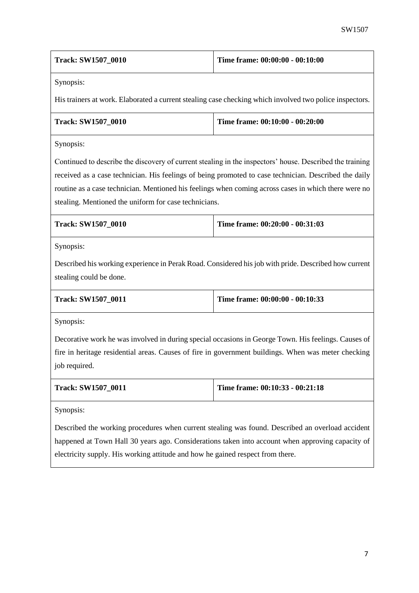| <b>Track: SW1507 0010</b> | Time frame: 00:00:00 - 00:10:00 |
|---------------------------|---------------------------------|
|---------------------------|---------------------------------|

His trainers at work. Elaborated a current stealing case checking which involved two police inspectors.

| <b>Track: SW1507 0010</b> | Time frame: $00:10:00 - 00:20:00$ |
|---------------------------|-----------------------------------|
|                           |                                   |

Synopsis:

Continued to describe the discovery of current stealing in the inspectors' house. Described the training received as a case technician. His feelings of being promoted to case technician. Described the daily routine as a case technician. Mentioned his feelings when coming across cases in which there were no stealing. Mentioned the uniform for case technicians.

| <b>Track: SW1507 0010</b> | Time frame: $00:20:00 - 00:31:03$ |
|---------------------------|-----------------------------------|
|                           |                                   |

Synopsis:

Described his working experience in Perak Road. Considered his job with pride. Described how current stealing could be done.

| <b>Track: SW1507 0011</b> | Time frame: $00:00:00 - 00:10:33$ |
|---------------------------|-----------------------------------|
|                           |                                   |

Synopsis:

Decorative work he was involved in during special occasions in George Town. His feelings. Causes of fire in heritage residential areas. Causes of fire in government buildings. When was meter checking job required.

| <b>Track: SW1507 0011</b> | Time frame: $00:10:33 - 00:21:18$ |
|---------------------------|-----------------------------------|
|                           |                                   |

Synopsis:

Described the working procedures when current stealing was found. Described an overload accident happened at Town Hall 30 years ago. Considerations taken into account when approving capacity of electricity supply. His working attitude and how he gained respect from there.